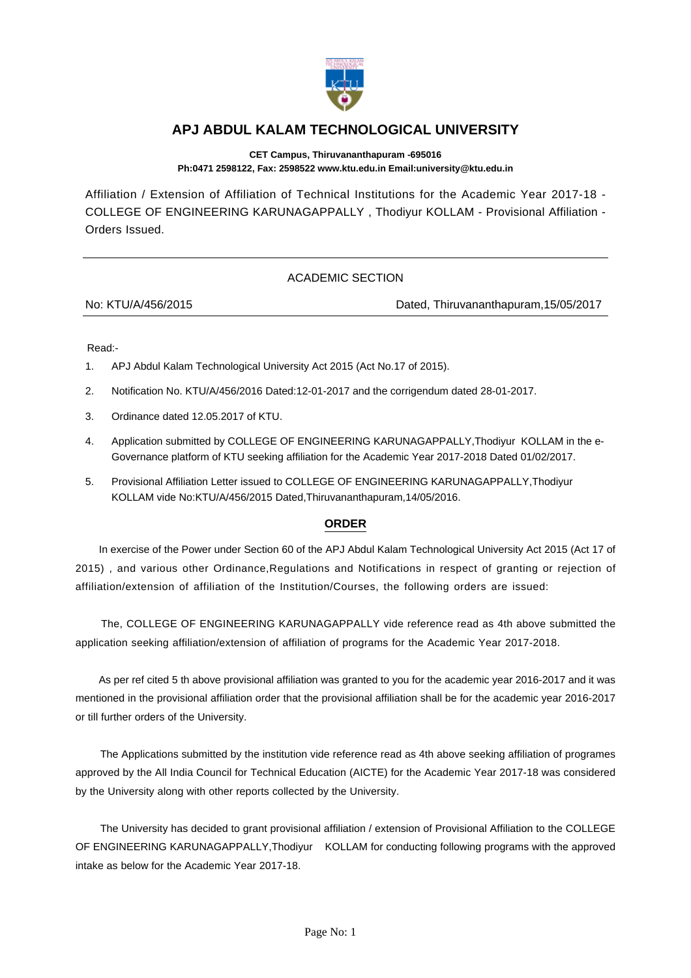

## **APJ ABDUL KALAM TECHNOLOGICAL UNIVERSITY**

**CET Campus, Thiruvananthapuram -695016 Ph:0471 2598122, Fax: 2598522 www.ktu.edu.in Email:university@ktu.edu.in**

Affiliation / Extension of Affiliation of Technical Institutions for the Academic Year 2017-18 - COLLEGE OF ENGINEERING KARUNAGAPPALLY , Thodiyur KOLLAM - Provisional Affiliation - Orders Issued.

## ACADEMIC SECTION

No: KTU/A/456/2015 Dated, Thiruvananthapuram,15/05/2017

Read:-

- 1. APJ Abdul Kalam Technological University Act 2015 (Act No.17 of 2015).
- 2. Notification No. KTU/A/456/2016 Dated:12-01-2017 and the corrigendum dated 28-01-2017.
- 3. Ordinance dated 12.05.2017 of KTU.
- 4. Application submitted by COLLEGE OF ENGINEERING KARUNAGAPPALLY,Thodiyur KOLLAM in the e-Governance platform of KTU seeking affiliation for the Academic Year 2017-2018 Dated 01/02/2017.
- 5. Provisional Affiliation Letter issued to COLLEGE OF ENGINEERING KARUNAGAPPALLY,Thodiyur KOLLAM vide No:KTU/A/456/2015 Dated,Thiruvananthapuram,14/05/2016.

## **ORDER**

 In exercise of the Power under Section 60 of the APJ Abdul Kalam Technological University Act 2015 (Act 17 of 2015) , and various other Ordinance,Regulations and Notifications in respect of granting or rejection of affiliation/extension of affiliation of the Institution/Courses, the following orders are issued:

 The, COLLEGE OF ENGINEERING KARUNAGAPPALLY vide reference read as 4th above submitted the application seeking affiliation/extension of affiliation of programs for the Academic Year 2017-2018.

 As per ref cited 5 th above provisional affiliation was granted to you for the academic year 2016-2017 and it was mentioned in the provisional affiliation order that the provisional affiliation shall be for the academic year 2016-2017 or till further orders of the University.

 The Applications submitted by the institution vide reference read as 4th above seeking affiliation of programes approved by the All India Council for Technical Education (AICTE) for the Academic Year 2017-18 was considered by the University along with other reports collected by the University.

 The University has decided to grant provisional affiliation / extension of Provisional Affiliation to the COLLEGE OF ENGINEERING KARUNAGAPPALLY,Thodiyur KOLLAM for conducting following programs with the approved intake as below for the Academic Year 2017-18.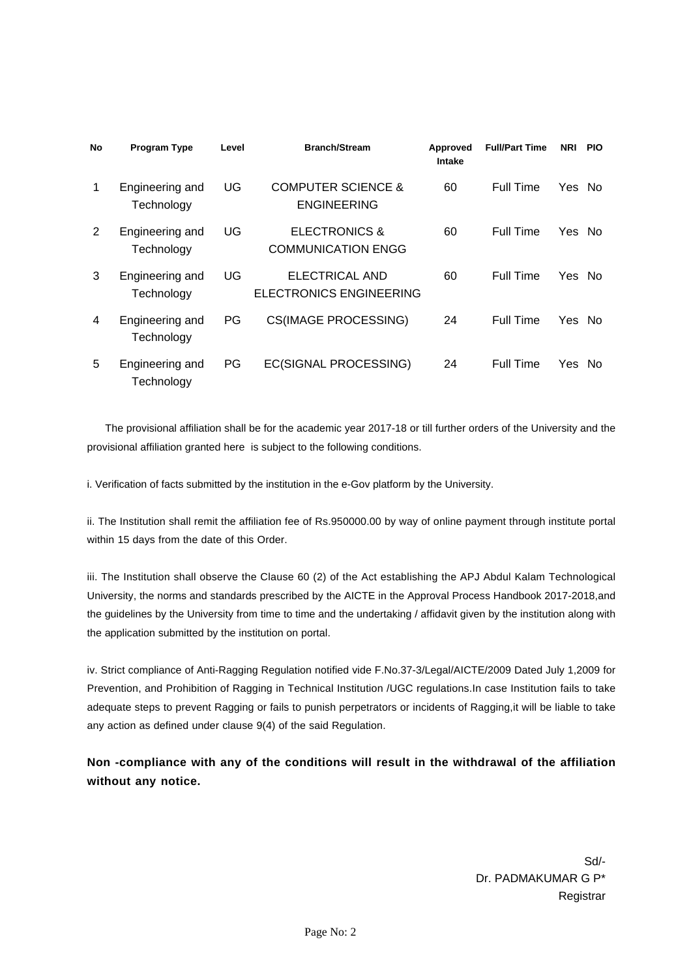| <b>No</b> | <b>Program Type</b>           | Level | <b>Branch/Stream</b>                                  | Approved<br>Intake | <b>Full/Part Time</b> | <b>NRI</b> | <b>PIO</b> |
|-----------|-------------------------------|-------|-------------------------------------------------------|--------------------|-----------------------|------------|------------|
| 1         | Engineering and<br>Technology | UG    | <b>COMPUTER SCIENCE &amp;</b><br><b>ENGINEERING</b>   | 60                 | Full Time             | Yes No     |            |
| 2         | Engineering and<br>Technology | UG    | <b>ELECTRONICS &amp;</b><br><b>COMMUNICATION ENGG</b> | 60                 | Full Time             | Yes No     |            |
| 3         | Engineering and<br>Technology | UG    | ELECTRICAL AND<br>ELECTRONICS ENGINEERING             | 60                 | Full Time             | Yes        | No.        |
| 4         | Engineering and<br>Technology | PG    | <b>CS(IMAGE PROCESSING)</b>                           | 24                 | Full Time             | Yes No     |            |
| 5         | Engineering and<br>Technology | PG    | EC(SIGNAL PROCESSING)                                 | 24                 | Full Time             | Yes No     |            |

 The provisional affiliation shall be for the academic year 2017-18 or till further orders of the University and the provisional affiliation granted here is subject to the following conditions.

i. Verification of facts submitted by the institution in the e-Gov platform by the University.

ii. The Institution shall remit the affiliation fee of Rs.950000.00 by way of online payment through institute portal within 15 days from the date of this Order.

iii. The Institution shall observe the Clause 60 (2) of the Act establishing the APJ Abdul Kalam Technological University, the norms and standards prescribed by the AICTE in the Approval Process Handbook 2017-2018,and the guidelines by the University from time to time and the undertaking / affidavit given by the institution along with the application submitted by the institution on portal.

iv. Strict compliance of Anti-Ragging Regulation notified vide F.No.37-3/Legal/AICTE/2009 Dated July 1,2009 for Prevention, and Prohibition of Ragging in Technical Institution /UGC regulations.In case Institution fails to take adequate steps to prevent Ragging or fails to punish perpetrators or incidents of Ragging,it will be liable to take any action as defined under clause 9(4) of the said Regulation.

**Non -compliance with any of the conditions will result in the withdrawal of the affiliation without any notice.**

> Sd/- Dr. PADMAKUMAR G P\* Registrar